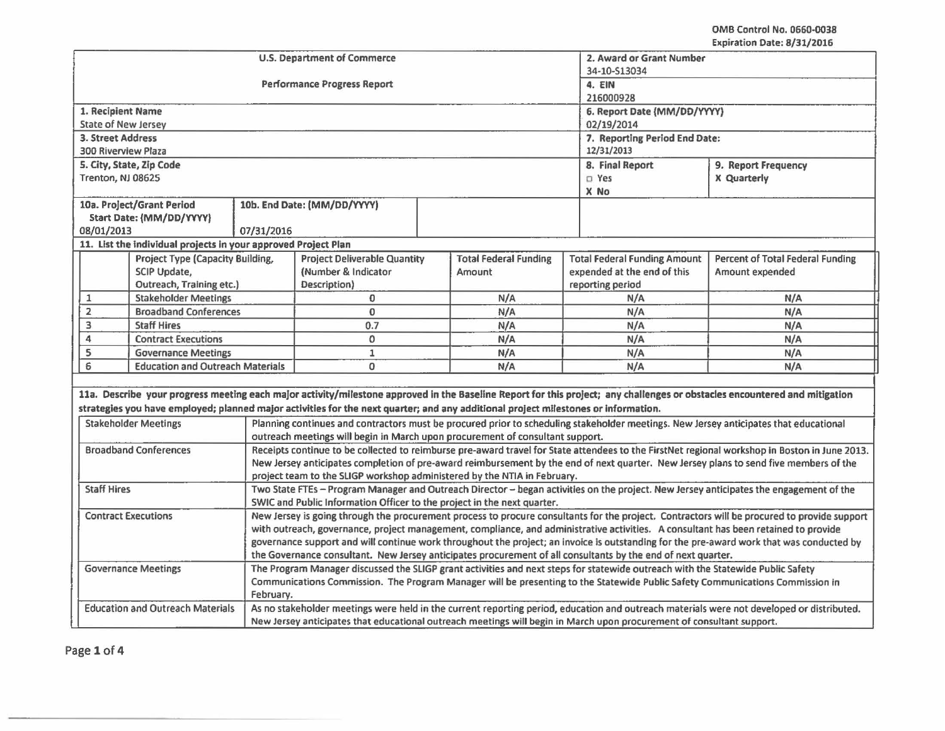OMB Control No. 0660·0038 Expiration Date: 8/31/2016

|                                                                                                                                                                                                                                                                                                                  | <b>U.S. Department of Commerce</b>                                                                                                         |                               |                              | 2. Award or Grant Number<br>34-10-S13034 |                                                                                                                                             |  |  |
|------------------------------------------------------------------------------------------------------------------------------------------------------------------------------------------------------------------------------------------------------------------------------------------------------------------|--------------------------------------------------------------------------------------------------------------------------------------------|-------------------------------|------------------------------|------------------------------------------|---------------------------------------------------------------------------------------------------------------------------------------------|--|--|
|                                                                                                                                                                                                                                                                                                                  | <b>Performance Progress Report</b>                                                                                                         |                               |                              | 4. EIN<br>216000928                      |                                                                                                                                             |  |  |
| 1. Recipient Name                                                                                                                                                                                                                                                                                                |                                                                                                                                            |                               |                              |                                          | 6. Report Date (MM/DD/YYYY)                                                                                                                 |  |  |
| <b>State of New Jersey</b>                                                                                                                                                                                                                                                                                       |                                                                                                                                            |                               |                              | 02/19/2014                               |                                                                                                                                             |  |  |
| 3. Street Address                                                                                                                                                                                                                                                                                                |                                                                                                                                            | 7. Reporting Period End Date: |                              |                                          |                                                                                                                                             |  |  |
| 300 Riverview Plaza                                                                                                                                                                                                                                                                                              |                                                                                                                                            |                               |                              | 12/31/2013                               |                                                                                                                                             |  |  |
| 5. City, State, Zip Code                                                                                                                                                                                                                                                                                         |                                                                                                                                            |                               |                              | 8. Final Report                          | 9. Report Frequency                                                                                                                         |  |  |
| Trenton, NJ 08625                                                                                                                                                                                                                                                                                                |                                                                                                                                            |                               |                              | □ Yes                                    | X Quarterly                                                                                                                                 |  |  |
| 10a. Project/Grant Period                                                                                                                                                                                                                                                                                        | 10b. End Date: (MM/DD/YYYY)                                                                                                                |                               |                              | X No                                     |                                                                                                                                             |  |  |
| Start Date: (MM/DD/YYYY)                                                                                                                                                                                                                                                                                         |                                                                                                                                            |                               |                              |                                          |                                                                                                                                             |  |  |
| 08/01/2013                                                                                                                                                                                                                                                                                                       | 07/31/2016                                                                                                                                 |                               |                              |                                          |                                                                                                                                             |  |  |
| 11. List the individual projects in your approved Project Plan                                                                                                                                                                                                                                                   |                                                                                                                                            |                               |                              |                                          |                                                                                                                                             |  |  |
| Project Type (Capacity Building,                                                                                                                                                                                                                                                                                 | <b>Project Deliverable Quantity</b>                                                                                                        |                               | <b>Total Federal Funding</b> | <b>Total Federal Funding Amount</b>      | Percent of Total Federal Funding                                                                                                            |  |  |
| SCIP Update,                                                                                                                                                                                                                                                                                                     | (Number & Indicator                                                                                                                        |                               |                              | expended at the end of this              | Amount expended                                                                                                                             |  |  |
| Outreach, Training etc.)                                                                                                                                                                                                                                                                                         | Description)                                                                                                                               |                               | N/A                          | reporting period                         |                                                                                                                                             |  |  |
| <b>Stakeholder Meetings</b><br>$\mathbf{1}$                                                                                                                                                                                                                                                                      | 0                                                                                                                                          |                               |                              | N/A                                      | N/A                                                                                                                                         |  |  |
| $\overline{\mathbf{2}}$<br><b>Broadband Conferences</b>                                                                                                                                                                                                                                                          | $\mathbf 0$                                                                                                                                |                               | N/A<br>N/A                   | N/A                                      | N/A                                                                                                                                         |  |  |
| 3<br><b>Staff Hires</b>                                                                                                                                                                                                                                                                                          |                                                                                                                                            | 0.7                           |                              | N/A                                      | N/A                                                                                                                                         |  |  |
| 4<br><b>Contract Executions</b>                                                                                                                                                                                                                                                                                  | $\mathbf 0$                                                                                                                                |                               | N/A                          | N/A                                      | N/A                                                                                                                                         |  |  |
| 5<br><b>Governance Meetings</b>                                                                                                                                                                                                                                                                                  | $\mathbf{1}$                                                                                                                               |                               | N/A                          | N/A                                      | N/A                                                                                                                                         |  |  |
| $\overline{6}$<br><b>Education and Outreach Materials</b>                                                                                                                                                                                                                                                        | $\mathbf{0}$                                                                                                                               |                               | N/A                          | N/A                                      | N/A                                                                                                                                         |  |  |
|                                                                                                                                                                                                                                                                                                                  |                                                                                                                                            |                               |                              |                                          |                                                                                                                                             |  |  |
| 11a. Describe your progress meeting each major activity/milestone approved in the Baseline Report for this project; any challenges or obstacles encountered and mitigation<br>strategies you have employed; planned major activities for the next quarter; and any additional project milestones or information. |                                                                                                                                            |                               |                              |                                          |                                                                                                                                             |  |  |
| <b>Stakeholder Meetings</b>                                                                                                                                                                                                                                                                                      | Planning continues and contractors must be procured prior to scheduling stakeholder meetings. New Jersey anticipates that educational      |                               |                              |                                          |                                                                                                                                             |  |  |
|                                                                                                                                                                                                                                                                                                                  | outreach meetings will begin in March upon procurement of consultant support.                                                              |                               |                              |                                          |                                                                                                                                             |  |  |
| <b>Broadband Conferences</b>                                                                                                                                                                                                                                                                                     |                                                                                                                                            |                               |                              |                                          |                                                                                                                                             |  |  |
| Receipts continue to be collected to reimburse pre-award travel for State attendees to the FirstNet regional workshop in Boston in June 2013.<br>New Jersey anticipates completion of pre-award reimbursement by the end of next quarter. New Jersey plans to send five members of the                           |                                                                                                                                            |                               |                              |                                          |                                                                                                                                             |  |  |
|                                                                                                                                                                                                                                                                                                                  | project team to the SLIGP workshop administered by the NTIA in February.                                                                   |                               |                              |                                          |                                                                                                                                             |  |  |
| <b>Staff Hires</b>                                                                                                                                                                                                                                                                                               | Two State FTEs - Program Manager and Outreach Director - began activities on the project. New Jersey anticipates the engagement of the     |                               |                              |                                          |                                                                                                                                             |  |  |
|                                                                                                                                                                                                                                                                                                                  | SWIC and Public Information Officer to the project in the next quarter.                                                                    |                               |                              |                                          |                                                                                                                                             |  |  |
| <b>Contract Executions</b>                                                                                                                                                                                                                                                                                       |                                                                                                                                            |                               |                              |                                          | New Jersey is going through the procurement process to procure consultants for the project. Contractors will be procured to provide support |  |  |
|                                                                                                                                                                                                                                                                                                                  | with outreach, governance, project management, compliance, and administrative activities. A consultant has been retained to provide        |                               |                              |                                          |                                                                                                                                             |  |  |
|                                                                                                                                                                                                                                                                                                                  |                                                                                                                                            |                               |                              |                                          | governance support and will continue work throughout the project; an invoice is outstanding for the pre-award work that was conducted by    |  |  |
|                                                                                                                                                                                                                                                                                                                  | the Governance consultant. New Jersey anticipates procurement of all consultants by the end of next quarter.                               |                               |                              |                                          |                                                                                                                                             |  |  |
| <b>Governance Meetings</b>                                                                                                                                                                                                                                                                                       | The Program Manager discussed the SLIGP grant activities and next steps for statewide outreach with the Statewide Public Safety            |                               |                              |                                          |                                                                                                                                             |  |  |
|                                                                                                                                                                                                                                                                                                                  | Communications Commission. The Program Manager will be presenting to the Statewide Public Safety Communications Commission in<br>February. |                               |                              |                                          |                                                                                                                                             |  |  |
| <b>Education and Outreach Materials</b>                                                                                                                                                                                                                                                                          |                                                                                                                                            |                               |                              |                                          | As no stakeholder meetings were held in the current reporting period, education and outreach materials were not developed or distributed.   |  |  |
|                                                                                                                                                                                                                                                                                                                  | New Jersey anticipates that educational outreach meetings will begin in March upon procurement of consultant support.                      |                               |                              |                                          |                                                                                                                                             |  |  |
|                                                                                                                                                                                                                                                                                                                  |                                                                                                                                            |                               |                              |                                          |                                                                                                                                             |  |  |

Page 1 of 4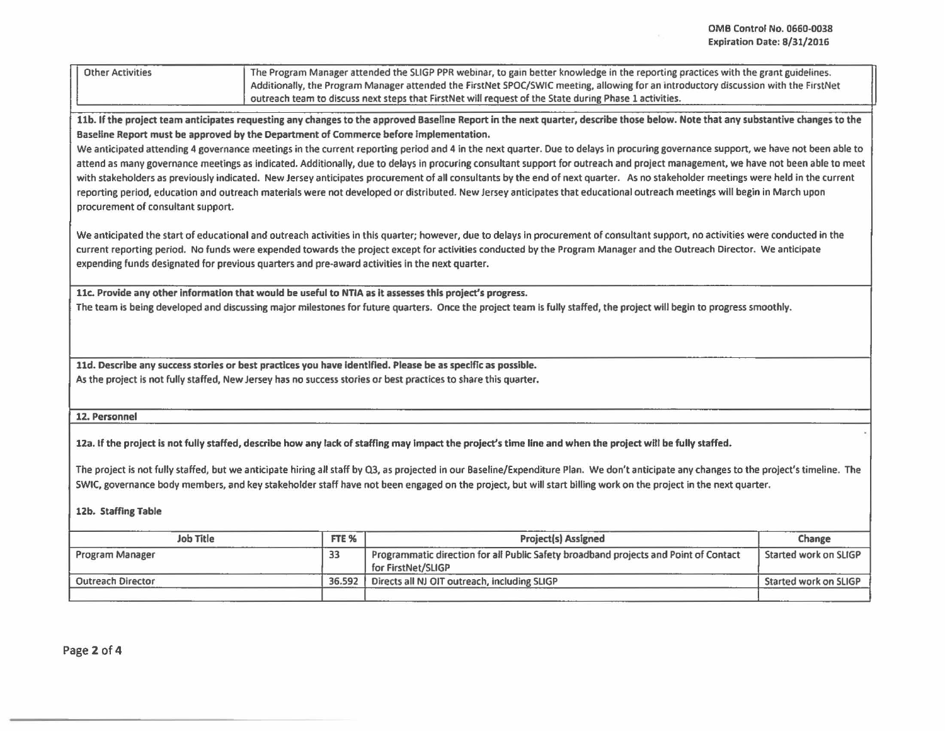| <b>Other Activities</b> | The Program Manager attended the SLIGP PPR webinar, to gain better knowledge in the reporting practices with the grant guidelines.   |
|-------------------------|--------------------------------------------------------------------------------------------------------------------------------------|
|                         | Additionally, the Program Manager attended the FirstNet SPOC/SWIC meeting, allowing for an introductory discussion with the FirstNet |
|                         | outreach team to discuss next steps that FirstNet will request of the State during Phase 1 activities.                               |

11b. If the project team anticipates requesting any changes to the approved Baseline Report in the next quarter, describe those below. Note that any substantive changes to the Baseline Report must be approved by the Department of Commerce before Implementation.

We anticipated attending 4 governance meetings in the current reporting period and 4 in the next quarter. Due to delays in procuring governance support, we have not been able to attend as many governance meetings as indicated. Additionally, due to delays in procuring consultant support for outreach and project management, we have not been able to meet with stakeholders as previously indicated. New Jersey anticipates procurement of all consultants by the end of next quarter. As no stakeholder meetings were held in the current reporting period, education and outreach materials were not developed or distributed. New Jersey anticipates that educational outreach meetings will begin in March upon procurement of consultant support.

We anticipated the start of educational and outreach activities in this quarter; however, due to delays in procurement of consultant support, no activities were conducted in the current reporting period. No funds were expended towards the project except for activities conducted by the Program Manager and the Outreach Director. We anticipate expending funds designated for previous quarters and pre-award activities in the next quarter.

llc. Provide any other Information that would be useful to NTIA as it assesses this project's progress.

The team is being developed and discussing major milestones for future quarters. Once the project team Is fully staffed, the project will begin to progress smoothly.

Ud. Describe any success stories or best practices you have Identified. Please be as specific as possible. As the project is not fully staffed, New Jersey has no success stories or best practices to share this quarter.

## 12. Personnel

12a. If the project is not fully staffed, describe how any lack of staffing may Impact the project's time line and when the project will be fully staffed.

The project is not fully staffed, but we anticipate hiring all staff by Q3, as projected in our Baseline/Expenditure Plan. We don't anticipate any changes to the project's timeline. The SWIC, governance body members, and key stakeholder staff have not been engaged on the project, but will start billing work on the project in the next quarter.

## 12b. Staffing Table

| Job Title                | FTE <sub>%</sub> | <b>Project(s) Assigned</b>                                                                                 | Change                |
|--------------------------|------------------|------------------------------------------------------------------------------------------------------------|-----------------------|
| Program Manager          | 33               | Programmatic direction for all Public Safety broadband projects and Point of Contact<br>for FirstNet/SLIGP | Started work on SLIGP |
| <b>Outreach Director</b> | 36.592           | Directs all NJ OIT outreach, including SLIGP                                                               | Started work on SLIGP |
|                          |                  |                                                                                                            |                       |

Page 2 of 4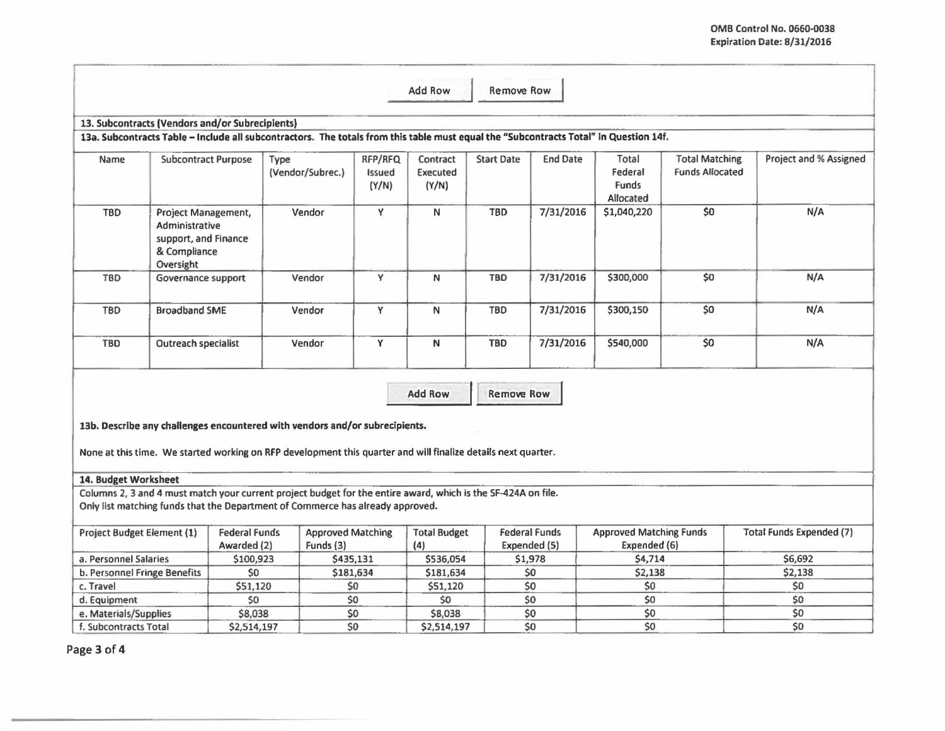|                              |                                                                                            |                                                                                                                                                                                                 |                                   | Add Row                       | <b>Remove Row</b> |                                      |                                                |                                                 |                                 |
|------------------------------|--------------------------------------------------------------------------------------------|-------------------------------------------------------------------------------------------------------------------------------------------------------------------------------------------------|-----------------------------------|-------------------------------|-------------------|--------------------------------------|------------------------------------------------|-------------------------------------------------|---------------------------------|
|                              | 13. Subcontracts (Vendors and/or Subrecipients)                                            |                                                                                                                                                                                                 |                                   |                               |                   |                                      |                                                |                                                 |                                 |
|                              |                                                                                            | 13a. Subcontracts Table - Include all subcontractors. The totals from this table must equal the "Subcontracts Total" in Question 14f.                                                           |                                   |                               |                   |                                      |                                                |                                                 |                                 |
| Name                         | <b>Subcontract Purpose</b>                                                                 | Type<br>(Vendor/Subrec.)                                                                                                                                                                        | RFP/RFQ<br><b>Issued</b><br>(Y/N) | Contract<br>Executed<br>(Y/N) | <b>Start Date</b> | <b>End Date</b>                      | Total<br>Federal<br>Funds<br>Allocated         | <b>Total Matching</b><br><b>Funds Allocated</b> | Project and % Assigned          |
| <b>TBD</b>                   | Project Management,<br>Administrative<br>support, and Finance<br>& Compliance<br>Oversight | Vendor                                                                                                                                                                                          | Y                                 | N                             | <b>TBD</b>        | 7/31/2016                            | \$1,040,220                                    | 50                                              | N/A                             |
| <b>TBD</b>                   | Governance support                                                                         | Vendor                                                                                                                                                                                          | Y                                 | N                             | TBD               | 7/31/2016                            | \$300,000                                      | \$0                                             | N/A                             |
| <b>TBD</b>                   | <b>Broadband SME</b>                                                                       | Vendor                                                                                                                                                                                          | Y                                 | N                             | <b>TBD</b>        | 7/31/2016                            | \$300,150                                      | \$0                                             | N/A                             |
| <b>TBD</b>                   | <b>Outreach specialist</b>                                                                 | Vendor                                                                                                                                                                                          | Y                                 | N                             | <b>TBD</b>        | 7/31/2016                            | \$540,000                                      | \$O                                             | N/A                             |
|                              |                                                                                            | 13b. Describe any challenges encountered with vendors and/or subrecipients.<br>None at this time. We started working on RFP development this quarter and will finalize details next quarter.    |                                   | <b>Add Row</b>                | <b>Remove Row</b> |                                      |                                                |                                                 |                                 |
| 14. Budget Worksheet         |                                                                                            |                                                                                                                                                                                                 |                                   |                               |                   |                                      |                                                |                                                 |                                 |
|                              |                                                                                            | Columns 2, 3 and 4 must match your current project budget for the entire award, which is the SF-424A on file.<br>Only list matching funds that the Department of Commerce has already approved. |                                   |                               |                   |                                      |                                                |                                                 |                                 |
| Project Budget Element (1)   |                                                                                            | <b>Federal Funds</b><br>Awarded (2)<br>Funds (3)                                                                                                                                                | <b>Approved Matching</b>          | <b>Total Budget</b><br>(4)    |                   | <b>Federal Funds</b><br>Expended (5) | <b>Approved Matching Funds</b><br>Expended (6) |                                                 | <b>Total Funds Expended (7)</b> |
| a. Personnel Salaries        |                                                                                            | \$100,923                                                                                                                                                                                       | \$435,131                         | \$536,054                     |                   | \$1,978                              | \$4,714                                        |                                                 | \$6,692                         |
| b. Personnel Fringe Benefits |                                                                                            | \$0                                                                                                                                                                                             | \$181,634                         | \$181,634                     |                   | \$0                                  | \$2,138                                        |                                                 | \$2,138                         |
| c. Travel                    |                                                                                            | \$51,120                                                                                                                                                                                        | \$0                               | \$51,120                      |                   | \$0                                  | \$0                                            |                                                 | \$0                             |
| d. Equipment                 |                                                                                            | \$0                                                                                                                                                                                             | \$0                               | \$O                           |                   | \$0                                  | \$0                                            |                                                 | \$0                             |
| e. Materials/Supplies        |                                                                                            | \$8,038                                                                                                                                                                                         | \$0                               | \$8,038                       |                   | \$0                                  | \$0                                            |                                                 | \$0                             |
| f. Subcontracts Total        |                                                                                            | \$2,514,197                                                                                                                                                                                     | SO                                | \$2,514,197                   |                   | \$0                                  | SO                                             |                                                 | SO.                             |

Page 3 of 4